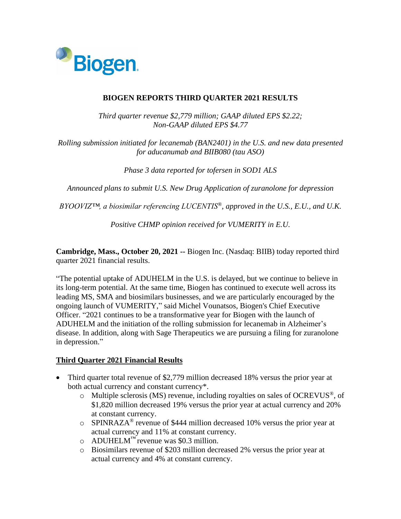

## **BIOGEN REPORTS THIRD QUARTER 2021 RESULTS**

*Third quarter revenue \$2,779 million; GAAP diluted EPS \$2.22; Non-GAAP diluted EPS \$4.77*

*Rolling submission initiated for lecanemab (BAN2401) in the U.S. and new data presented for aducanumab and BIIB080 (tau ASO)*

*Phase 3 data reported for tofersen in SOD1 ALS*

*Announced plans to submit U.S. New Drug Application of zuranolone for depression*

*BYOOVIZ™, a biosimilar referencing LUCENTIS®, approved in the U.S., E.U., and U.K.*

*Positive CHMP opinion received for VUMERITY in E.U.*

**Cambridge, Mass., October 20, 2021 --** Biogen Inc. (Nasdaq: BIIB) today reported third quarter 2021 financial results.

"The potential uptake of ADUHELM in the U.S. is delayed, but we continue to believe in its long-term potential. At the same time, Biogen has continued to execute well across its leading MS, SMA and biosimilars businesses, and we are particularly encouraged by the ongoing launch of VUMERITY," said Michel Vounatsos, Biogen's Chief Executive Officer. "2021 continues to be a transformative year for Biogen with the launch of ADUHELM and the initiation of the rolling submission for lecanemab in Alzheimer's disease. In addition, along with Sage Therapeutics we are pursuing a filing for zuranolone in depression."

## **Third Quarter 2021 Financial Results**

- Third quarter total revenue of \$2,779 million decreased 18% versus the prior year at both actual currency and constant currency\*.
	- o Multiple sclerosis (MS) revenue, including royalties on sales of OCREVUS® , of \$1,820 million decreased 19% versus the prior year at actual currency and 20% at constant currency.
	- $\circ$  SPINRAZA<sup>®</sup> revenue of \$444 million decreased 10% versus the prior year at actual currency and 11% at constant currency.
	- $\circ$  ADUHELM<sup>™</sup> revenue was \$0.3 million.
	- o Biosimilars revenue of \$203 million decreased 2% versus the prior year at actual currency and 4% at constant currency.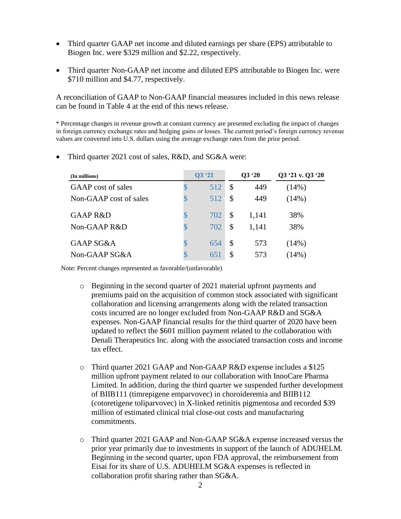- Third quarter GAAP net income and diluted earnings per share (EPS) attributable to Biogen Inc. were \$329 million and \$2.22, respectively.
- Third quarter Non-GAAP net income and diluted EPS attributable to Biogen Inc. were \$710 million and \$4.77, respectively.

A reconciliation of GAAP to Non-GAAP financial measures included in this news release can be found in Table 4 at the end of this news release.

\* Percentage changes in revenue growth at constant currency are presented excluding the impact of changes in foreign currency exchange rates and hedging gains or losses. The current period's foreign currency revenue values are converted into U.S. dollars using the average exchange rates from the prior period.

| (In millions)          | Q3'21     | Q3'20 |       | Q3 '21 v. Q3 '20 |
|------------------------|-----------|-------|-------|------------------|
| GAAP cost of sales     | 512<br>\$ | \$    | 449   | (14%)            |
| Non-GAAP cost of sales | 512<br>\$ | \$    | 449   | (14%)            |
| GAAP R&D               | \$<br>702 | \$    | 1,141 | 38%              |
| Non-GAAP R&D           | 702<br>\$ | \$    | 1,141 | 38%              |
| <b>GAAP SG&amp;A</b>   | 654<br>S  | \$    | 573   | $(14\%)$         |
| Non-GAAP SG&A          | \$<br>651 | \$    | 573   | (14%)            |

• Third quarter 2021 cost of sales, R&D, and SG&A were:

Note: Percent changes represented as favorable/(unfavorable)

- o Beginning in the second quarter of 2021 material upfront payments and premiums paid on the acquisition of common stock associated with significant collaboration and licensing arrangements along with the related transaction costs incurred are no longer excluded from Non-GAAP R&D and SG&A expenses. Non-GAAP financial results for the third quarter of 2020 have been updated to reflect the \$601 million payment related to the collaboration with Denali Therapeutics Inc. along with the associated transaction costs and income tax effect.
- o Third quarter 2021 GAAP and Non-GAAP R&D expense includes a \$125 million upfront payment related to our collaboration with InnoCare Pharma Limited. In addition, during the third quarter we suspended further development of BIIB111 (timrepigene emparvovec) in choroideremia and BIIB112 (cotoretigene toliparvovec) in X-linked retinitis pigmentosa and recorded \$39 million of estimated clinical trial close-out costs and manufacturing commitments.
- o Third quarter 2021 GAAP and Non-GAAP SG&A expense increased versus the prior year primarily due to investments in support of the launch of ADUHELM. Beginning in the second quarter, upon FDA approval, the reimbursement from Eisai for its share of U.S. ADUHELM SG&A expenses is reflected in collaboration profit sharing rather than SG&A.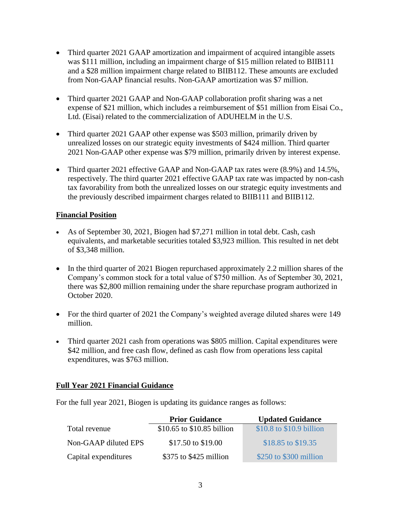- Third quarter 2021 GAAP amortization and impairment of acquired intangible assets was \$111 million, including an impairment charge of \$15 million related to BIIB111 and a \$28 million impairment charge related to BIIB112. These amounts are excluded from Non-GAAP financial results. Non-GAAP amortization was \$7 million.
- Third quarter 2021 GAAP and Non-GAAP collaboration profit sharing was a net expense of \$21 million, which includes a reimbursement of \$51 million from Eisai Co., Ltd. (Eisai) related to the commercialization of ADUHELM in the U.S.
- Third quarter 2021 GAAP other expense was \$503 million, primarily driven by unrealized losses on our strategic equity investments of \$424 million. Third quarter 2021 Non-GAAP other expense was \$79 million, primarily driven by interest expense.
- Third quarter 2021 effective GAAP and Non-GAAP tax rates were (8.9%) and 14.5%, respectively. The third quarter 2021 effective GAAP tax rate was impacted by non-cash tax favorability from both the unrealized losses on our strategic equity investments and the previously described impairment charges related to BIIB111 and BIIB112.

## **Financial Position**

- As of September 30, 2021, Biogen had \$7,271 million in total debt. Cash, cash equivalents, and marketable securities totaled \$3,923 million. This resulted in net debt of \$3,348 million.
- In the third quarter of 2021 Biogen repurchased approximately 2.2 million shares of the Company's common stock for a total value of \$750 million. As of September 30, 2021, there was \$2,800 million remaining under the share repurchase program authorized in October 2020.
- For the third quarter of 2021 the Company's weighted average diluted shares were 149 million.
- Third quarter 2021 cash from operations was \$805 million. Capital expenditures were \$42 million, and free cash flow, defined as cash flow from operations less capital expenditures, was \$763 million.

## **Full Year 2021 Financial Guidance**

For the full year 2021, Biogen is updating its guidance ranges as follows:

|                      | <b>Prior Guidance</b>      | <b>Updated Guidance</b>  |
|----------------------|----------------------------|--------------------------|
| Total revenue        | \$10.65 to \$10.85 billion | \$10.8 to \$10.9 billion |
| Non-GAAP diluted EPS | \$17.50 to \$19.00         | \$18.85 to \$19.35       |
| Capital expenditures | $$375$ to $$425$ million   | \$250 to \$300 million   |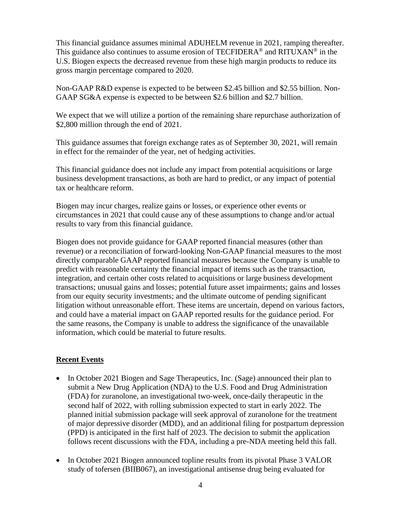This financial guidance assumes minimal ADUHELM revenue in 2021, ramping thereafter. This guidance also continues to assume erosion of TECFIDERA<sup>®</sup> and RITUXAN<sup>®</sup> in the U.S. Biogen expects the decreased revenue from these high margin products to reduce its gross margin percentage compared to 2020.

Non-GAAP R&D expense is expected to be between \$2.45 billion and \$2.55 billion. Non-GAAP SG&A expense is expected to be between \$2.6 billion and \$2.7 billion.

We expect that we will utilize a portion of the remaining share repurchase authorization of \$2,800 million through the end of 2021.

This guidance assumes that foreign exchange rates as of September 30, 2021, will remain in effect for the remainder of the year, net of hedging activities.

This financial guidance does not include any impact from potential acquisitions or large business development transactions, as both are hard to predict, or any impact of potential tax or healthcare reform.

Biogen may incur charges, realize gains or losses, or experience other events or circumstances in 2021 that could cause any of these assumptions to change and/or actual results to vary from this financial guidance.

Biogen does not provide guidance for GAAP reported financial measures (other than revenue) or a reconciliation of forward-looking Non-GAAP financial measures to the most directly comparable GAAP reported financial measures because the Company is unable to predict with reasonable certainty the financial impact of items such as the transaction, integration, and certain other costs related to acquisitions or large business development transactions; unusual gains and losses; potential future asset impairments; gains and losses from our equity security investments; and the ultimate outcome of pending significant litigation without unreasonable effort. These items are uncertain, depend on various factors, and could have a material impact on GAAP reported results for the guidance period. For the same reasons, the Company is unable to address the significance of the unavailable information, which could be material to future results.

## **Recent Events**

- In October 2021 Biogen and Sage Therapeutics, Inc. (Sage) announced their plan to submit a New Drug Application (NDA) to the U.S. Food and Drug Administration (FDA) for zuranolone, an investigational two-week, once-daily therapeutic in the second half of 2022, with rolling submission expected to start in early 2022. The planned initial submission package will seek approval of zuranolone for the treatment of major depressive disorder (MDD), and an additional filing for postpartum depression (PPD) is anticipated in the first half of 2023. The decision to submit the application follows recent discussions with the FDA, including a pre-NDA meeting held this fall.
- In October 2021 Biogen announced topline results from its pivotal Phase 3 VALOR study of tofersen (BIIB067), an investigational antisense drug being evaluated for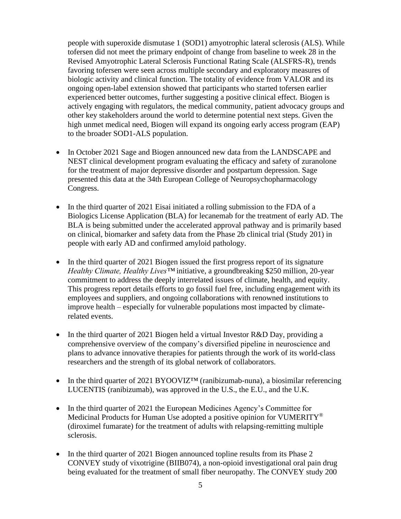people with superoxide dismutase 1 (SOD1) amyotrophic lateral sclerosis (ALS). While tofersen did not meet the primary endpoint of change from baseline to week 28 in the Revised Amyotrophic Lateral Sclerosis Functional Rating Scale (ALSFRS-R), trends favoring tofersen were seen across multiple secondary and exploratory measures of biologic activity and clinical function. The totality of evidence from VALOR and its ongoing open-label extension showed that participants who started tofersen earlier experienced better outcomes, further suggesting a positive clinical effect. Biogen is actively engaging with regulators, the medical community, patient advocacy groups and other key stakeholders around the world to determine potential next steps. Given the high unmet medical need, Biogen will expand its ongoing early access program (EAP) to the broader SOD1-ALS population.

- In October 2021 Sage and Biogen announced new data from the LANDSCAPE and NEST clinical development program evaluating the efficacy and safety of zuranolone for the treatment of major depressive disorder and postpartum depression. Sage presented this data at the 34th European College of Neuropsychopharmacology Congress.
- In the third quarter of 2021 Eisai initiated a rolling submission to the FDA of a Biologics License Application (BLA) for lecanemab for the treatment of early AD. The BLA is being submitted under the accelerated approval pathway and is primarily based on clinical, biomarker and safety data from the Phase 2b clinical trial (Study 201) in people with early AD and confirmed amyloid pathology.
- In the third quarter of 2021 Biogen issued the first progress report of its signature *Healthy Climate, Healthy Lives™* initiative, a groundbreaking \$250 million, 20-year commitment to address the deeply interrelated issues of climate, health, and equity. This progress report details efforts to go fossil fuel free, including engagement with its employees and suppliers, and ongoing collaborations with renowned institutions to improve health – especially for vulnerable populations most impacted by climaterelated events.
- In the third quarter of 2021 Biogen held a virtual Investor R&D Day, providing a comprehensive overview of the company's diversified pipeline in neuroscience and plans to advance innovative therapies for patients through the work of its world-class researchers and the strength of its global network of collaborators.
- In the third quarter of 2021 BYOOVIZ<sup>TM</sup> (ranibizumab-nuna), a biosimilar referencing LUCENTIS (ranibizumab), was approved in the U.S., the E.U., and the U.K.
- In the third quarter of 2021 the European Medicines Agency's Committee for Medicinal Products for Human Use adopted a positive opinion for VUMERITY<sup>®</sup> (diroximel fumarate) for the treatment of adults with relapsing-remitting multiple sclerosis.
- In the third quarter of 2021 Biogen announced topline results from its Phase 2 CONVEY study of vixotrigine (BIIB074), a non-opioid investigational oral pain drug being evaluated for the treatment of small fiber neuropathy. The CONVEY study 200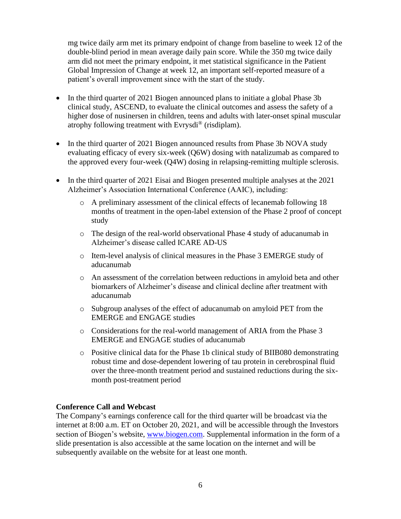mg twice daily arm met its primary endpoint of change from baseline to week 12 of the double-blind period in mean average daily pain score. While the 350 mg twice daily arm did not meet the primary endpoint, it met statistical significance in the Patient Global Impression of Change at week 12, an important self-reported measure of a patient's overall improvement since with the start of the study.

- In the third quarter of 2021 Biogen announced plans to initiate a global Phase 3b clinical study, ASCEND, to evaluate the clinical outcomes and assess the safety of a higher dose of nusinersen in children, teens and adults with later-onset spinal muscular atrophy following treatment with Evrysdi<sup>®</sup> (risdiplam).
- In the third quarter of 2021 Biogen announced results from Phase 3b NOVA study evaluating efficacy of every six-week (Q6W) dosing with natalizumab as compared to the approved every four-week (Q4W) dosing in relapsing-remitting multiple sclerosis.
- In the third quarter of 2021 Eisai and Biogen presented multiple analyses at the 2021 Alzheimer's Association International Conference (AAIC), including:
	- o A preliminary assessment of the clinical effects of lecanemab following 18 months of treatment in the open-label extension of the Phase 2 proof of concept study
	- o The design of the real-world observational Phase 4 study of aducanumab in Alzheimer's disease called ICARE AD-US
	- o Item-level analysis of clinical measures in the Phase 3 EMERGE study of aducanumab
	- o An assessment of the correlation between reductions in amyloid beta and other biomarkers of Alzheimer's disease and clinical decline after treatment with aducanumab
	- o Subgroup analyses of the effect of aducanumab on amyloid PET from the EMERGE and ENGAGE studies
	- o Considerations for the real-world management of ARIA from the Phase 3 EMERGE and ENGAGE studies of aducanumab
	- o Positive clinical data for the Phase 1b clinical study of BIIB080 demonstrating robust time and dose-dependent lowering of tau protein in cerebrospinal fluid over the three-month treatment period and sustained reductions during the sixmonth post-treatment period

#### **Conference Call and Webcast**

The Company's earnings conference call for the third quarter will be broadcast via the internet at 8:00 a.m. ET on October 20, 2021, and will be accessible through the Investors section of Biogen's website, [www.biogen.com.](http://www.biogen.com/) Supplemental information in the form of a slide presentation is also accessible at the same location on the internet and will be subsequently available on the website for at least one month.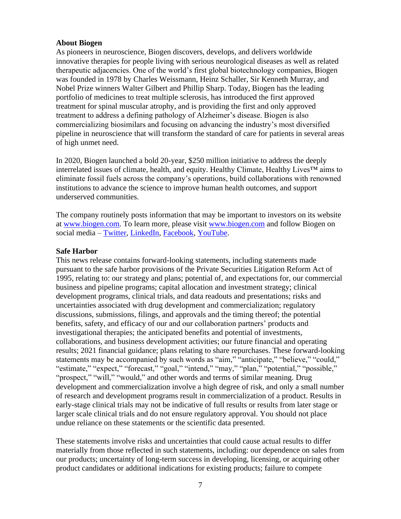#### **About Biogen**

As pioneers in neuroscience, Biogen discovers, develops, and delivers worldwide innovative therapies for people living with serious neurological diseases as well as related therapeutic adjacencies. One of the world's first global biotechnology companies, Biogen was founded in 1978 by Charles Weissmann, Heinz Schaller, Sir Kenneth Murray, and Nobel Prize winners Walter Gilbert and Phillip Sharp. Today, Biogen has the leading portfolio of medicines to treat multiple sclerosis, has introduced the first approved treatment for spinal muscular atrophy, and is providing the first and only approved treatment to address a defining pathology of Alzheimer's disease. Biogen is also commercializing biosimilars and focusing on advancing the industry's most diversified pipeline in neuroscience that will transform the standard of care for patients in several areas of high unmet need.

In 2020, Biogen launched a bold 20-year, \$250 million initiative to address the deeply interrelated issues of climate, health, and equity. Healthy Climate, Healthy Lives™ aims to eliminate fossil fuels across the company's operations, build collaborations with renowned institutions to advance the science to improve human health outcomes, and support underserved communities.

The company routinely posts information that may be important to investors on its website at [www.biogen.com.](https://www.biogen.com/) To learn more, please visit [www.biogen.com](http://www.biogen.com/) and follow Biogen on social media – [Twitter,](https://www.globenewswire.com/Tracker?data=180RM6hUDFp3_nPku7_UGOjjBTdsq_eZ_PQKCB5-KhpHyk6-4NVjAwf5PU5LI692iUuUj67LZsOEzISZUHlSQg==) [LinkedIn,](https://www.globenewswire.com/Tracker?data=WydfZogG_X2wAQPb-uqMTQj0WMGM84cSku35ZnmDo9thPdVEZ_OZFrHl95_xaNsgW9BhPZR88i0gVr9a81d-sjG61Su57iQnpQWRdh0P9oY=) [Facebook,](https://www.globenewswire.com/Tracker?data=o0NzwW1AOcDFmOiQbL7WjZRwsCsm0Ud9JwW8TYMMYuttw1NktOmO694nwz-cjU9Z4kuJLXtAInHuLqQ_1O6xAg==) [YouTube.](https://www.globenewswire.com/Tracker?data=JIpFvz3ZTU2KN6Mw0oPJfQlZfoLNI7GQqY_99OYSYn2HbeFmtKNE0HmMprogYLif7ej00TPTwNBmBQkdXafjXQ==)

#### **Safe Harbor**

This news release contains forward-looking statements, including statements made pursuant to the safe harbor provisions of the Private Securities Litigation Reform Act of 1995, relating to: our strategy and plans; potential of, and expectations for, our commercial business and pipeline programs; capital allocation and investment strategy; clinical development programs, clinical trials, and data readouts and presentations; risks and uncertainties associated with drug development and commercialization; regulatory discussions, submissions, filings, and approvals and the timing thereof; the potential benefits, safety, and efficacy of our and our collaboration partners' products and investigational therapies; the anticipated benefits and potential of investments, collaborations, and business development activities; our future financial and operating results; 2021 financial guidance; plans relating to share repurchases. These forward-looking statements may be accompanied by such words as "aim," "anticipate," "believe," "could," "estimate," "expect," "forecast," "goal," "intend," "may," "plan," "potential," "possible," "prospect," "will," "would," and other words and terms of similar meaning. Drug development and commercialization involve a high degree of risk, and only a small number of research and development programs result in commercialization of a product. Results in early-stage clinical trials may not be indicative of full results or results from later stage or larger scale clinical trials and do not ensure regulatory approval. You should not place undue reliance on these statements or the scientific data presented.

These statements involve risks and uncertainties that could cause actual results to differ materially from those reflected in such statements, including: our dependence on sales from our products; uncertainty of long-term success in developing, licensing, or acquiring other product candidates or additional indications for existing products; failure to compete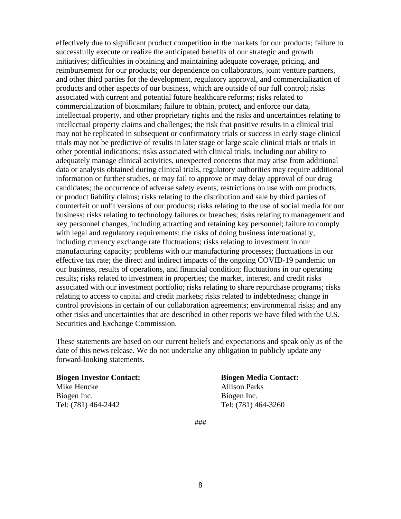effectively due to significant product competition in the markets for our products; failure to successfully execute or realize the anticipated benefits of our strategic and growth initiatives; difficulties in obtaining and maintaining adequate coverage, pricing, and reimbursement for our products; our dependence on collaborators, joint venture partners, and other third parties for the development, regulatory approval, and commercialization of products and other aspects of our business, which are outside of our full control; risks associated with current and potential future healthcare reforms; risks related to commercialization of biosimilars; failure to obtain, protect, and enforce our data, intellectual property, and other proprietary rights and the risks and uncertainties relating to intellectual property claims and challenges; the risk that positive results in a clinical trial may not be replicated in subsequent or confirmatory trials or success in early stage clinical trials may not be predictive of results in later stage or large scale clinical trials or trials in other potential indications; risks associated with clinical trials, including our ability to adequately manage clinical activities, unexpected concerns that may arise from additional data or analysis obtained during clinical trials, regulatory authorities may require additional information or further studies, or may fail to approve or may delay approval of our drug candidates; the occurrence of adverse safety events, restrictions on use with our products, or product liability claims; risks relating to the distribution and sale by third parties of counterfeit or unfit versions of our products; risks relating to the use of social media for our business; risks relating to technology failures or breaches; risks relating to management and key personnel changes, including attracting and retaining key personnel; failure to comply with legal and regulatory requirements; the risks of doing business internationally, including currency exchange rate fluctuations; risks relating to investment in our manufacturing capacity; problems with our manufacturing processes; fluctuations in our effective tax rate; the direct and indirect impacts of the ongoing COVID-19 pandemic on our business, results of operations, and financial condition; fluctuations in our operating results; risks related to investment in properties; the market, interest, and credit risks associated with our investment portfolio; risks relating to share repurchase programs; risks relating to access to capital and credit markets; risks related to indebtedness; change in control provisions in certain of our collaboration agreements; environmental risks; and any other risks and uncertainties that are described in other reports we have filed with the U.S. Securities and Exchange Commission.

These statements are based on our current beliefs and expectations and speak only as of the date of this news release. We do not undertake any obligation to publicly update any forward-looking statements.

Mike Hencke Allison Parks Biogen Inc. Biogen Inc. Tel: (781) 464-2442 Tel: (781) 464-3260

# **Biogen Investor Contact: Biogen Media Contact:**

###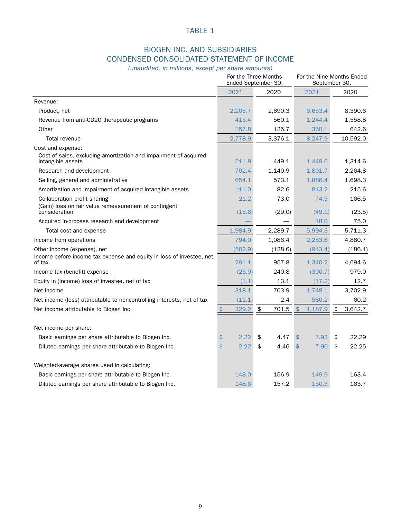## BIOGEN INC. AND SUBSIDIARIES CONDENSED CONSOLIDATED STATEMENT OF INCOME

*(unaudited, in millions, except per share amounts)*

|                                                                                                               | For the Three Months<br>Ended September 30, | For the Nine Months Ended<br>September 30, |                           |                    |  |
|---------------------------------------------------------------------------------------------------------------|---------------------------------------------|--------------------------------------------|---------------------------|--------------------|--|
|                                                                                                               | 2021                                        | 2020                                       | 2021                      | 2020               |  |
| Revenue:                                                                                                      |                                             |                                            |                           |                    |  |
| Product, net                                                                                                  | 2,205.7                                     | 2,690.3                                    | 6,653.4                   | 8,390.6            |  |
| Revenue from anti-CD20 therapeutic programs                                                                   | 415.4                                       | 560.1                                      | 1,244.4                   | 1,558.8            |  |
| Other                                                                                                         | 157.8                                       | 125.7                                      | 350.1                     | 642.6              |  |
| Total revenue                                                                                                 | 2,778.9                                     | 3,376.1                                    | 8,247.9                   | 10,592.0           |  |
| Cost and expense:<br>Cost of sales, excluding amortization and impairment of acquired<br>intangible assets    | 511.8                                       | 449.1                                      | 1,449.6                   | 1,314.6            |  |
| Research and development                                                                                      | 702.4                                       | 1,140.9                                    | 1,801.7                   | 2,264.8            |  |
| Selling, general and administrative                                                                           | 654.1                                       | 573.1                                      | 1,886.4                   | 1,698.3            |  |
| Amortization and impairment of acquired intangible assets                                                     | 111.0                                       | 82.6                                       | 813.2                     | 215.6              |  |
| Collaboration profit sharing<br>(Gain) loss on fair value remeasurement of contingent                         | 21.2                                        | 73.0                                       | 74.5                      | 166.5              |  |
| consideration                                                                                                 | (15.6)                                      | (29.0)                                     | (49.1)                    | (23.5)             |  |
| Acquired in-process research and development                                                                  |                                             |                                            | 18.0                      | 75.0               |  |
| Total cost and expense                                                                                        | 1,984.9                                     | 2,289.7                                    | 5,994.3                   | 5,711.3            |  |
| Income from operations                                                                                        | 794.0                                       | 1,086.4                                    | 2,253.6                   | 4,880.7            |  |
| Other income (expense), net<br>Income before income tax expense and equity in loss of investee, net<br>of tax | (502.9)<br>291.1                            | (128.6)<br>957.8                           | (913.4)<br>1,340.2        | (186.1)<br>4,694.6 |  |
| Income tax (benefit) expense                                                                                  | (25.9)                                      | 240.8                                      | (390.7)                   | 979.0              |  |
| Equity in (income) loss of investee, net of tax                                                               | (1.1)                                       | 13.1                                       | (17.2)                    | 12.7               |  |
| Net income                                                                                                    | 318.1                                       | 703.9                                      | 1,748.1                   | 3,702.9            |  |
| Net income (loss) attributable to noncontrolling interests, net of tax                                        | (11.1)                                      | 2.4                                        | 560.2                     | 60.2               |  |
| Net income attributable to Biogen Inc.                                                                        | \$<br>329.2                                 | \$<br>701.5                                | $\mathfrak{L}$<br>1,187.9 | \$<br>3,642.7      |  |
| Net income per share:                                                                                         |                                             |                                            |                           |                    |  |
| Basic earnings per share attributable to Biogen Inc.                                                          | \$<br>2.22                                  | \$<br>4.47                                 | \$<br>7.93                | \$<br>22.29        |  |
| Diluted earnings per share attributable to Biogen Inc.                                                        | 2.22<br>\$                                  | \$<br>4.46                                 | \$<br>7.90                | \$<br>22.25        |  |
| Weighted-average shares used in calculating:                                                                  |                                             |                                            |                           |                    |  |
| Basic earnings per share attributable to Biogen Inc.                                                          | 148.0                                       | 156.9                                      | 149.9                     | 163.4              |  |
| Diluted earnings per share attributable to Biogen Inc.                                                        | 148.6                                       | 157.2                                      | 150.3                     | 163.7              |  |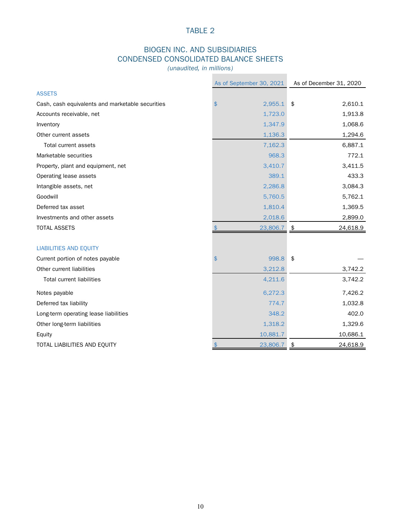# BIOGEN INC. AND SUBSIDIARIES CONDENSED CONSOLIDATED BALANCE SHEETS

*(unaudited, in millions)*

|                                                  | As of September 30, 2021        | As of December 31, 2020 |
|--------------------------------------------------|---------------------------------|-------------------------|
| <b>ASSETS</b>                                    |                                 |                         |
| Cash, cash equivalents and marketable securities | 2,955.1<br>\$                   | \$<br>2,610.1           |
| Accounts receivable, net                         | 1,723.0                         | 1,913.8                 |
| Inventory                                        | 1,347.9                         | 1,068.6                 |
| Other current assets                             | 1,136.3                         | 1,294.6                 |
| Total current assets                             | 7,162.3                         | 6,887.1                 |
| Marketable securities                            | 968.3                           | 772.1                   |
| Property, plant and equipment, net               | 3,410.7                         | 3,411.5                 |
| Operating lease assets                           | 389.1                           | 433.3                   |
| Intangible assets, net                           | 2,286.8                         | 3,084.3                 |
| Goodwill                                         | 5,760.5                         | 5,762.1                 |
| Deferred tax asset                               | 1,810.4                         | 1,369.5                 |
| Investments and other assets                     | 2,018.6                         | 2,899.0                 |
| <b>TOTAL ASSETS</b>                              | \$<br>23,806.7                  | 24,618.9<br>\$          |
|                                                  |                                 |                         |
| <b>LIABILITIES AND EQUITY</b>                    |                                 |                         |
| Current portion of notes payable                 | 998.8<br>\$                     | \$                      |
| Other current liabilities                        | 3,212.8                         | 3,742.2                 |
| <b>Total current liabilities</b>                 | 4,211.6                         | 3,742.2                 |
| Notes payable                                    | 6,272.3                         | 7,426.2                 |
| Deferred tax liability                           | 774.7                           | 1,032.8                 |
| Long-term operating lease liabilities            | 348.2                           | 402.0                   |
| Other long-term liabilities                      | 1,318.2                         | 1,329.6                 |
| Equity                                           | 10,881.7                        | 10,686.1                |
| TOTAL LIABILITIES AND EQUITY                     | $\boldsymbol{\phi}$<br>23,806.7 | 24,618.9<br>\$          |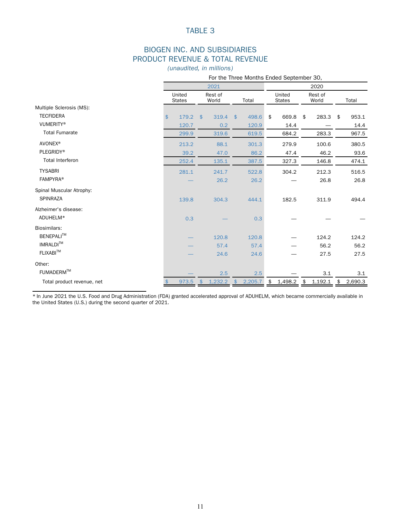## BIOGEN INC. AND SUBSIDIARIES PRODUCT REVENUE & TOTAL REVENUE

*(unaudited, in millions)*

|                            |                         |                       |                          | For the Three Months Ended September 30, |                  |               |
|----------------------------|-------------------------|-----------------------|--------------------------|------------------------------------------|------------------|---------------|
|                            |                         | 2021                  |                          |                                          | 2020             |               |
|                            | United<br><b>States</b> | Rest of<br>World      | Total                    | United<br><b>States</b>                  | Rest of<br>World | Total         |
| Multiple Sclerosis (MS):   |                         |                       |                          |                                          |                  |               |
| <b>TECFIDERA</b>           | 179.2<br>\$             | 319.4<br>\$           | 498.6<br>$\frac{1}{2}$   | \$<br>669.8                              | 283.3<br>\$      | 953.1<br>\$   |
| <b>VUMERITY®</b>           | 120.7                   | 0.2                   | 120.9                    | 14.4                                     |                  | 14.4          |
| <b>Total Fumarate</b>      | 299.9                   | 319.6                 | 619.5                    | 684.2                                    | 283.3            | 967.5         |
| <b>AVONEX®</b>             | 213.2                   | 88.1                  | 301.3                    | 279.9                                    | 100.6            | 380.5         |
| <b>PLEGRIDY®</b>           | 39.2                    | 47.0                  | 86.2                     | 47.4                                     | 46.2             | 93.6          |
| <b>Total Interferon</b>    | 252.4                   | 135.1                 | 387.5                    | 327.3                                    | 146.8            | 474.1         |
| <b>TYSABRI</b>             | 281.1                   | 241.7                 | 522.8                    | 304.2                                    | 212.3            | 516.5         |
| <b>FAMPYRA®</b>            |                         | 26.2                  | 26.2                     |                                          | 26.8             | 26.8          |
| Spinal Muscular Atrophy:   |                         |                       |                          |                                          |                  |               |
| <b>SPINRAZA</b>            | 139.8                   | 304.3                 | 444.1                    | 182.5                                    | 311.9            | 494.4         |
| Alzheimer's disease:       |                         |                       |                          |                                          |                  |               |
| ADUHELM*                   | 0.3                     |                       | 0.3                      |                                          |                  |               |
| Biosimilars:               |                         |                       |                          |                                          |                  |               |
| BENEPALI™                  |                         | 120.8                 | 120.8                    |                                          | 124.2            | 124.2         |
| <b>IMRALDI™</b>            |                         | 57.4                  | 57.4                     |                                          | 56.2             | 56.2          |
| <b>FLIXABI™</b>            |                         | 24.6                  | 24.6                     |                                          | 27.5             | 27.5          |
| Other:                     |                         |                       |                          |                                          |                  |               |
| FUMADERM™                  |                         | 2.5                   | 2.5                      |                                          | 3.1              | $3.1\,$       |
| Total product revenue, net | 973.5                   | 1,232.2<br>$\sqrt{5}$ | 2,205.7<br>$\frac{1}{2}$ | $1,498.2$ \$<br>\$                       | 1,192.1          | 2,690.3<br>\$ |

\* In June 2021 the U.S. Food and Drug Administration (FDA) granted accelerated approval of ADUHELM, which became commercially available in the United States (U.S.) during the second quarter of 2021.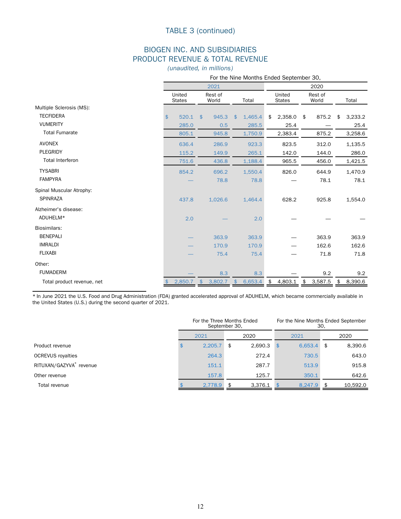## TABLE 3 (continued)

## BIOGEN INC. AND SUBSIDIARIES PRODUCT REVENUE & TOTAL REVENUE

*(unaudited, in millions)*

|                            |               |                         |            |                  |               | For the Nine Months Ended September 30, |                         |            |                  |         |               |
|----------------------------|---------------|-------------------------|------------|------------------|---------------|-----------------------------------------|-------------------------|------------|------------------|---------|---------------|
|                            |               |                         |            | 2021             |               |                                         |                         |            |                  | 2020    |               |
|                            |               | United<br><b>States</b> |            | Rest of<br>World |               | Total                                   | United<br><b>States</b> |            | Rest of<br>World |         | Total         |
| Multiple Sclerosis (MS):   |               |                         |            |                  |               |                                         |                         |            |                  |         |               |
| <b>TECFIDERA</b>           | $\frac{1}{2}$ | 520.1                   | \$         | 945.3            | $\frac{1}{2}$ | 1,465.4                                 | \$                      | 2,358.0    | \$               | 875.2   | \$<br>3,233.2 |
| <b>VUMERITY</b>            |               | 285.0                   |            | 0.5              |               | 285.5                                   |                         | 25.4       |                  |         | 25.4          |
| <b>Total Fumarate</b>      |               | 805.1                   |            | 945.8            |               | 1,750.9                                 |                         | 2,383.4    |                  | 875.2   | 3,258.6       |
| <b>AVONEX</b>              |               | 636.4                   |            | 286.9            |               | 923.3                                   |                         | 823.5      |                  | 312.0   | 1,135.5       |
| <b>PLEGRIDY</b>            |               | 115.2                   |            | 149.9            |               | 265.1                                   |                         | 142.0      |                  | 144.0   | 286.0         |
| <b>Total Interferon</b>    |               | 751.6                   |            | 436.8            |               | 1,188.4                                 |                         | 965.5      |                  | 456.0   | 1,421.5       |
| <b>TYSABRI</b>             |               | 854.2                   |            | 696.2            |               | 1,550.4                                 |                         | 826.0      |                  | 644.9   | 1,470.9       |
| <b>FAMPYRA</b>             |               |                         |            | 78.8             |               | 78.8                                    |                         |            |                  | 78.1    | 78.1          |
| Spinal Muscular Atrophy:   |               |                         |            |                  |               |                                         |                         |            |                  |         |               |
| <b>SPINRAZA</b>            |               | 437.8                   |            | 1,026.6          |               | 1,464.4                                 |                         | 628.2      |                  | 925.8   | 1,554.0       |
| Alzheimer's disease:       |               |                         |            |                  |               |                                         |                         |            |                  |         |               |
| ADUHELM*                   |               | 2.0                     |            |                  |               | 2.0                                     |                         |            |                  |         |               |
| Biosimilars:               |               |                         |            |                  |               |                                         |                         |            |                  |         |               |
| <b>BENEPALI</b>            |               |                         |            | 363.9            |               | 363.9                                   |                         |            |                  | 363.9   | 363.9         |
| <b>IMRALDI</b>             |               |                         |            | 170.9            |               | 170.9                                   |                         |            |                  | 162.6   | 162.6         |
| <b>FLIXABI</b>             |               |                         |            | 75.4             |               | 75.4                                    |                         |            |                  | 71.8    | 71.8          |
| Other:                     |               |                         |            |                  |               |                                         |                         |            |                  |         |               |
| <b>FUMADERM</b>            |               |                         |            | 8.3              |               | 8.3                                     |                         |            |                  | 9.2     | 9.2           |
| Total product revenue, net |               | 2,850.7                 | $\sqrt{5}$ | 3,802.7          | $\frac{1}{2}$ | 6,653.4                                 | \$                      | 4,803.1 \$ |                  | 3,587.5 | \$<br>8,390.6 |

\* In June 2021 the U.S. Food and Drug Administration (FDA) granted accelerated approval of ADUHELM, which became commercially available in the United States (U.S.) during the second quarter of 2021.

|                          |              | For the Three Months Ended<br>September 30, |    |         |      |         | For the Nine Months Ended September<br>30. |          |  |  |
|--------------------------|--------------|---------------------------------------------|----|---------|------|---------|--------------------------------------------|----------|--|--|
|                          | 2020<br>2021 |                                             |    |         |      | 2021    | 2020                                       |          |  |  |
| Product revenue          |              | 2,205.7                                     | \$ | 2,690.3 | - \$ | 6,653.4 | \$                                         | 8,390.6  |  |  |
| <b>OCREVUS</b> royalties |              | 264.3                                       |    | 272.4   |      | 730.5   |                                            | 643.0    |  |  |
| RITUXAN/GAZYVA® revenue  |              | 151.1                                       |    | 287.7   |      | 513.9   |                                            | 915.8    |  |  |
| Other revenue            |              | 157.8                                       |    | 125.7   |      | 350.1   |                                            | 642.6    |  |  |
| Total revenue            |              | 2.778.9                                     | \$ | 3.376.1 |      | 8.247.9 | \$                                         | 10.592.0 |  |  |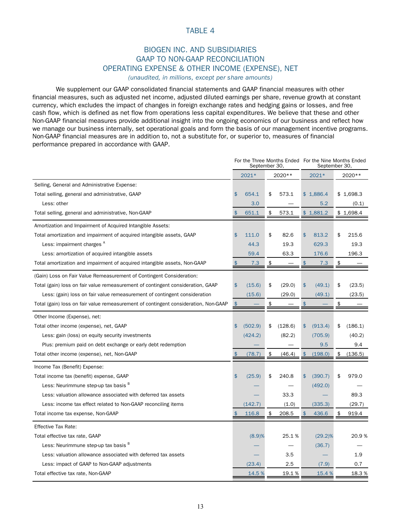# BIOGEN INC. AND SUBSIDIARIES GAAP TO NON-GAAP RECONCILIATION OPERATING EXPENSE & OTHER INCOME (EXPENSE), NET

*(unaudited, in millions, except per share amounts)*

We supplement our GAAP consolidated financial statements and GAAP financial measures with other financial measures, such as adjusted net income, adjusted diluted earnings per share, revenue growth at constant currency, which excludes the impact of changes in foreign exchange rates and hedging gains or losses, and free cash flow, which is defined as net flow from operations less capital expenditures. We believe that these and other Non-GAAP financial measures provide additional insight into the ongoing economics of our business and reflect how we manage our business internally, set operational goals and form the basis of our management incentive programs. Non-GAAP financial measures are in addition to, not a substitute for, or superior to, measures of financial performance prepared in accordance with GAAP.

|                                                                                     |               | September 30, | For the Three Months Ended For the Nine Months Ended | September 30  |            |           |
|-------------------------------------------------------------------------------------|---------------|---------------|------------------------------------------------------|---------------|------------|-----------|
|                                                                                     |               | 2021*         | 2020 **                                              | 2021*         |            | 2020 **   |
| Selling, General and Administrative Expense:                                        |               |               |                                                      |               |            |           |
| Total selling, general and administrative, GAAP                                     | \$            | 654.1         | \$<br>573.1                                          | \$1,886.4     |            | \$1,698.3 |
| Less: other                                                                         |               | 3.0           |                                                      | 5.2           |            | (0.1)     |
| Total selling, general and administrative, Non-GAAP                                 |               | 651.1         | \$<br>573.1                                          | \$1,881.2     |            | \$1,698.4 |
| Amortization and Impairment of Acquired Intangible Assets:                          |               |               |                                                      |               |            |           |
| Total amortization and impairment of acquired intangible assets, GAAP               | \$            | 111.0         | \$<br>82.6                                           | \$<br>813.2   | \$         | 215.6     |
| Less: impairment charges <sup>A</sup>                                               |               | 44.3          | 19.3                                                 | 629.3         |            | 19.3      |
| Less: amortization of acquired intangible assets                                    |               | 59.4          | 63.3                                                 | 176.6         |            | 196.3     |
| Total amortization and impairment of acquired intangible assets, Non-GAAP           | $\frac{1}{2}$ | 7.3           | \$                                                   | \$<br>7.3     | $\pmb{\$}$ |           |
| (Gain) Loss on Fair Value Remeasurement of Contingent Consideration:                |               |               |                                                      |               |            |           |
| Total (gain) loss on fair value remeasurement of contingent consideration, GAAP     | \$            | (15.6)        | \$<br>(29.0)                                         | \$<br>(49.1)  | \$         | (23.5)    |
| Less: (gain) loss on fair value remeasurement of contingent consideration           |               | (15.6)        | (29.0)                                               | (49.1)        |            | (23.5)    |
| Total (gain) loss on fair value remeasurement of contingent consideration, Non-GAAP | $\frac{1}{2}$ |               | \$                                                   | \$            | \$         |           |
| Other Income (Expense), net:                                                        |               |               |                                                      |               |            |           |
| Total other income (expense), net, GAAP                                             | \$            | (502.9)       | \$<br>(128.6)                                        | \$<br>(913.4) | \$         | (186.1)   |
| Less: gain (loss) on equity security investments                                    |               | (424.2)       | (82.2)                                               | (705.9)       |            | (40.2)    |
| Plus: premium paid on debt exchange or early debt redemption                        |               |               |                                                      | 9.5           |            | 9.4       |
| Total other income (expense), net, Non-GAAP                                         | \$            | (78.7)        | \$<br>(46.4)                                         | \$<br>(198.0) | \$         | (136.5)   |
| Income Tax (Benefit) Expense:                                                       |               |               |                                                      |               |            |           |
| Total income tax (benefit) expense, GAAP                                            | \$            | (25.9)        | \$<br>240.8                                          | \$<br>(390.7) | \$         | 979.0     |
| Less: Neurimmune step-up tax basis <sup>B</sup>                                     |               |               |                                                      | (492.0)       |            |           |
| Less: valuation allowance associated with deferred tax assets                       |               |               | 33.3                                                 |               |            | 89.3      |
| Less: income tax effect related to Non-GAAP reconciling items                       |               | (142.7)       | (1.0)                                                | (335.3)       |            | (29.7)    |
| Total income tax expense, Non-GAAP                                                  | \$            | 116.8         | \$<br>208.5                                          | \$<br>436.6   | \$         | 919.4     |
| <b>Effective Tax Rate:</b>                                                          |               |               |                                                      |               |            |           |
| Total effective tax rate, GAAP                                                      |               | (8.9)%        | 25.1%                                                | $(29.2)\%$    |            | 20.9%     |
| Less: Neurimmune step-up tax basis <sup>B</sup>                                     |               |               |                                                      | (36.7)        |            |           |
| Less: valuation allowance associated with deferred tax assets                       |               |               | 3.5                                                  |               |            | 1.9       |
| Less: impact of GAAP to Non-GAAP adjustments                                        |               | (23.4)        | 2.5                                                  | (7.9)         |            | 0.7       |
| Total effective tax rate, Non-GAAP                                                  |               | 14.5 %        | 19.1%                                                | 15.4 %        |            | 18.3%     |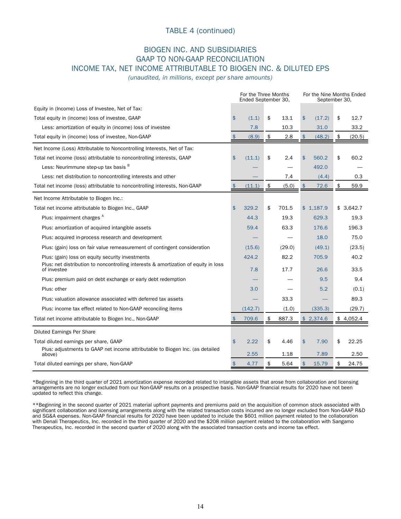## TABLE 4 (continued)

## BIOGEN INC. AND SUBSIDIARIES GAAP TO NON-GAAP RECONCILIATION INCOME TAX, NET INCOME ATTRIBUTABLE TO BIOGEN INC. & DILUTED EPS

*(unaudited, in millions, except per share amounts)*

|                                                                                                    |               | For the Three Months<br>Ended September 30, |               | For the Nine Months Ended<br>September 30, |               |           |    |           |
|----------------------------------------------------------------------------------------------------|---------------|---------------------------------------------|---------------|--------------------------------------------|---------------|-----------|----|-----------|
| Equity in (Income) Loss of Investee, Net of Tax:                                                   |               |                                             |               |                                            |               |           |    |           |
| Total equity in (income) loss of investee, GAAP                                                    | \$            | (1.1)                                       | \$            | 13.1                                       | $\frac{1}{2}$ | (17.2)    | \$ | 12.7      |
| Less: amortization of equity in (income) loss of investee                                          |               | 7.8                                         |               | 10.3                                       |               | 31.0      |    | 33.2      |
| Total equity in (income) loss of investee, Non-GAAP                                                | $\frac{1}{2}$ | (8.9)                                       | $\frac{1}{2}$ | 2.8                                        | $\frac{1}{2}$ | (48.2)    | \$ | (20.5)    |
| Net Income (Loss) Attributable to Noncontrolling Interests, Net of Tax:                            |               |                                             |               |                                            |               |           |    |           |
| Total net income (loss) attributable to noncontrolling interests, GAAP                             | \$            | (11.1)                                      | \$            | 2.4                                        | \$            | 560.2     | \$ | 60.2      |
| Less: Neurimmune step-up tax basis B                                                               |               |                                             |               |                                            |               | 492.0     |    |           |
| Less: net distribution to noncontrolling interests and other                                       |               |                                             |               | 7.4                                        |               | (4.4)     |    | 0.3       |
| Total net income (loss) attributable to noncontrolling interests, Non-GAAP                         | $\frac{1}{2}$ | (11.1)                                      | \$            | (5.0)                                      | $\frac{1}{2}$ | 72.6      | \$ | 59.9      |
| Net Income Attributable to Biogen Inc.:                                                            |               |                                             |               |                                            |               |           |    |           |
| Total net income attributable to Biogen Inc., GAAP                                                 | \$            | 329.2                                       | \$            | 701.5                                      |               | \$1,187.9 |    | \$3,642.7 |
| Plus: impairment charges <sup>A</sup>                                                              |               | 44.3                                        |               | 19.3                                       |               | 629.3     |    | 19.3      |
| Plus: amortization of acquired intangible assets                                                   |               | 59.4                                        |               | 63.3                                       |               | 176.6     |    | 196.3     |
| Plus: acquired in-process research and development                                                 |               |                                             |               |                                            |               | 18.0      |    | 75.0      |
| Plus: (gain) loss on fair value remeasurement of contingent consideration                          |               | (15.6)                                      |               | (29.0)                                     |               | (49.1)    |    | (23.5)    |
| Plus: (gain) loss on equity security investments                                                   |               | 424.2                                       |               | 82.2                                       |               | 705.9     |    | 40.2      |
| Plus: net distribution to noncontrolling interests & amortization of equity in loss<br>of investee |               | 7.8                                         |               | 17.7                                       |               | 26.6      |    | 33.5      |
| Plus: premium paid on debt exchange or early debt redemption                                       |               |                                             |               |                                            |               | 9.5       |    | 9.4       |
| Plus: other                                                                                        |               | 3.0                                         |               |                                            |               | 5.2       |    | (0.1)     |
| Plus: valuation allowance associated with deferred tax assets                                      |               |                                             |               | 33.3                                       |               |           |    | 89.3      |
| Plus: income tax effect related to Non-GAAP reconciling items                                      |               | (142.7)                                     |               | (1.0)                                      |               | (335.3)   |    | (29.7)    |
| Total net income attributable to Biogen Inc., Non-GAAP                                             |               | 709.6                                       | \$            | 887.3                                      |               | \$2,374.6 |    | \$4,052.4 |
| <b>Diluted Earnings Per Share</b>                                                                  |               |                                             |               |                                            |               |           |    |           |
| Total diluted earnings per share, GAAP                                                             | \$            | 2.22                                        | \$            | 4.46                                       | $\frac{1}{2}$ | 7.90      | \$ | 22.25     |
| Plus: adjustments to GAAP net income attributable to Biogen Inc. (as detailed<br>above)            |               | 2.55                                        |               | 1.18                                       |               | 7.89      |    | 2.50      |
| Total diluted earnings per share, Non-GAAP                                                         | \$            | 4.77                                        | \$            | 5.64                                       | $\frac{1}{2}$ | 15.79     | \$ | 24.75     |

\*Beginning in the third quarter of 2021 amortization expense recorded related to intangible assets that arose from collaboration and licensing arrangements are no longer excluded from our Non-GAAP results on a prospective basis. Non-GAAP financial results for 2020 have not been updated to reflect this change.

\*\*Beginning in the second quarter of 2021 material upfront payments and premiums paid on the acquisition of common stock associated with significant collaboration and licensing arrangements along with the related transaction costs incurred are no longer excluded from Non-GAAP R&D and SG&A expenses. Non-GAAP financial results for 2020 have been updated to include the \$601 million payment related to the collaboration with Denali Therapeutics, Inc. recorded in the third quarter of 2020 and the \$208 million payment related to the collaboration with Sangamo Therapeutics, Inc. recorded in the second quarter of 2020 along with the associated transaction costs and income tax effect.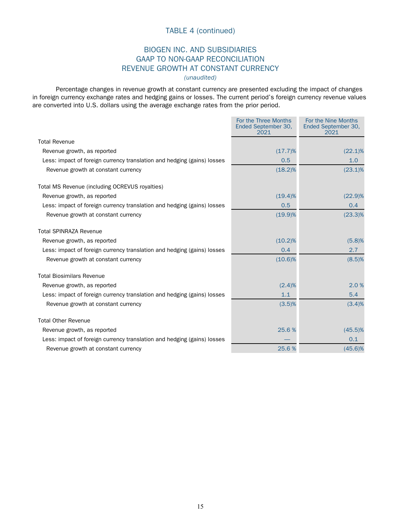## TABLE 4 (continued)

#### BIOGEN INC. AND SUBSIDIARIES GAAP TO NON-GAAP RECONCILIATION REVENUE GROWTH AT CONSTANT CURRENCY *(unaudited)*

Percentage changes in revenue growth at constant currency are presented excluding the impact of changes in foreign currency exchange rates and hedging gains or losses. The current period's foreign currency revenue values are converted into U.S. dollars using the average exchange rates from the prior period.

|                                                                         | For the Three Months<br>Ended September 30,<br>2021 | For the Nine Months<br>Ended September 30,<br>2021 |
|-------------------------------------------------------------------------|-----------------------------------------------------|----------------------------------------------------|
| <b>Total Revenue</b>                                                    |                                                     |                                                    |
| Revenue growth, as reported                                             | (17.7)%                                             | $(22.1)\%$                                         |
| Less: impact of foreign currency translation and hedging (gains) losses | 0.5                                                 | 1.0                                                |
| Revenue growth at constant currency                                     | $(18.2)\%$                                          | $(23.1)\%$                                         |
| Total MS Revenue (including OCREVUS royalties)                          |                                                     |                                                    |
| Revenue growth, as reported                                             | $(19.4)\%$                                          | $(22.9)\%$                                         |
| Less: impact of foreign currency translation and hedging (gains) losses | 0.5                                                 | 0.4                                                |
| Revenue growth at constant currency                                     | $(19.9)\%$                                          | $(23.3)\%$                                         |
| <b>Total SPINRAZA Revenue</b>                                           |                                                     |                                                    |
| Revenue growth, as reported                                             | $(10.2)\%$                                          | (5.8)%                                             |
| Less: impact of foreign currency translation and hedging (gains) losses | 0.4                                                 | 2.7                                                |
| Revenue growth at constant currency                                     | $(10.6)\%$                                          | (8.5)%                                             |
| <b>Total Biosimilars Revenue</b>                                        |                                                     |                                                    |
| Revenue growth, as reported                                             | (2.4)%                                              | 2.0%                                               |
| Less: impact of foreign currency translation and hedging (gains) losses | 1.1                                                 | 5.4                                                |
| Revenue growth at constant currency                                     | (3.5)%                                              | (3.4)%                                             |
| <b>Total Other Revenue</b>                                              |                                                     |                                                    |
| Revenue growth, as reported                                             | 25.6%                                               | $(45.5)\%$                                         |
| Less: impact of foreign currency translation and hedging (gains) losses |                                                     | 0.1                                                |
| Revenue growth at constant currency                                     | 25.6%                                               | $(45.6)\%$                                         |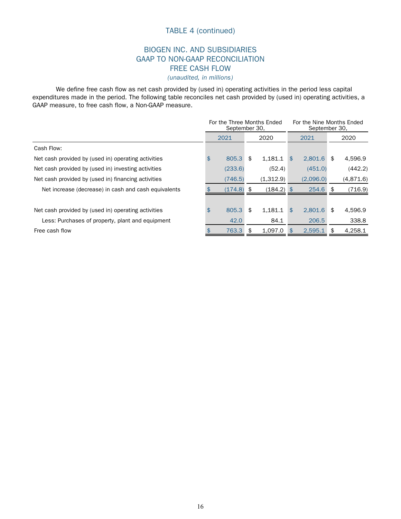## TABLE 4 (continued)

#### BIOGEN INC. AND SUBSIDIARIES GAAP TO NON-GAAP RECONCILIATION FREE CASH FLOW *(unaudited, in millions)*

We define free cash flow as net cash provided by (used in) operating activities in the period less capital expenditures made in the period. The following table reconciles net cash provided by (used in) operating activities, a GAAP measure, to free cash flow, a Non-GAAP measure.

|                                                      | For the Three Months Ended<br>September 30, |               |                |            | For the Nine Months Ended<br>September 30, |           |  |  |
|------------------------------------------------------|---------------------------------------------|---------------|----------------|------------|--------------------------------------------|-----------|--|--|
|                                                      | 2021                                        | 2020          |                | 2021       |                                            | 2020      |  |  |
| Cash Flow:                                           |                                             |               |                |            |                                            |           |  |  |
| Net cash provided by (used in) operating activities  | \$<br>805.3                                 | \$<br>1.181.1 | $\mathfrak{L}$ | 2.801.6    | \$                                         | 4,596.9   |  |  |
| Net cash provided by (used in) investing activities  | (233.6)                                     | (52.4)        |                | (451.0)    |                                            | (442.2)   |  |  |
| Net cash provided by (used in) financing activities  | (746.5)                                     | (1,312.9)     |                | (2,096.0)  |                                            | (4,871.6) |  |  |
| Net increase (decrease) in cash and cash equivalents | $(174.8)$ \$                                | $(184.2)$ \$  |                | $254.6$ \$ |                                            | (716.9)   |  |  |
|                                                      |                                             |               |                |            |                                            |           |  |  |
| Net cash provided by (used in) operating activities  | \$<br>805.3                                 | \$<br>1.181.1 | $\mathbf{\$}$  | 2.801.6    | \$                                         | 4.596.9   |  |  |
| Less: Purchases of property, plant and equipment     | 42.0                                        | 84.1          |                | 206.5      |                                            | 338.8     |  |  |
| Free cash flow                                       | 763.3                                       | \$<br>1.097.0 | <sup>\$</sup>  | 2.595.1    | \$                                         | 4,258.1   |  |  |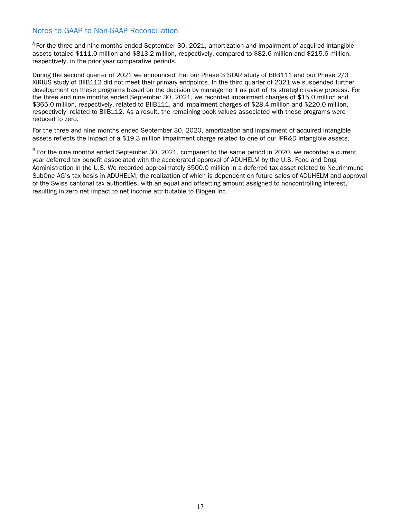#### Notes to GAAP to Non-GAAP Reconciliation

 $^{\circ}$  For the three and nine months ended September 30, 2021, amortization and impairment of acquired intangible assets totaled \$111.0 million and \$813.2 million, respectively, compared to \$82.6 million and \$215.6 million, respectively, in the prior year comparative periods.

During the second quarter of 2021 we announced that our Phase 3 STAR study of BIIB111 and our Phase 2/3 XIRIUS study of BIIB112 did not meet their primary endpoints. In the third quarter of 2021 we suspended further development on these programs based on the decision by management as part of its strategic review process. For the three and nine months ended September 30, 2021, we recorded impairment charges of \$15.0 million and \$365.0 million, respectively, related to BIIB111, and impairment charges of \$28.4 million and \$220.0 million, respectively, related to BIIB112. As a result, the remaining book values associated with these programs were reduced to zero.

For the three and nine months ended September 30, 2020, amortization and impairment of acquired intangible assets reflects the impact of a \$19.3 million impairment charge related to one of our IPR&D intangible assets.

<sup>B</sup> For the nine months ended September 30, 2021, compared to the same period in 2020, we recorded a current year deferred tax benefit associated with the accelerated approval of ADUHELM by the U.S. Food and Drug Administration in the U.S. We recorded approximately \$500.0 million in a deferred tax asset related to Neurimmune SubOne AG's tax basis in ADUHELM, the realization of which is dependent on future sales of ADUHELM and approval of the Swiss cantonal tax authorities, with an equal and offsetting amount assigned to noncontrolling interest, resulting in zero net impact to net income attributable to Biogen Inc.